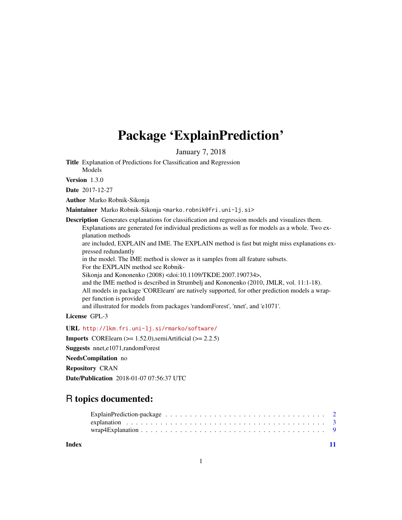## Package 'ExplainPrediction'

January 7, 2018

<span id="page-0-0"></span>Title Explanation of Predictions for Classification and Regression

Models

Version 1.3.0

Date 2017-12-27

Author Marko Robnik-Sikonja

Maintainer Marko Robnik-Sikonja <marko.robnik@fri.uni-lj.si>

Description Generates explanations for classification and regression models and visualizes them.

Explanations are generated for individual predictions as well as for models as a whole. Two explanation methods

are included, EXPLAIN and IME. The EXPLAIN method is fast but might miss explanations expressed redundantly

in the model. The IME method is slower as it samples from all feature subsets. For the EXPLAIN method see Robnik-

Sikonja and Kononenko (2008) <doi:10.1109/TKDE.2007.190734>,

and the IME method is described in Strumbelj and Kononenko (2010, JMLR, vol. 11:1-18). All models in package 'CORElearn' are natively supported, for other prediction models a wrapper function is provided

and illustrated for models from packages 'randomForest', 'nnet', and 'e1071'.

License GPL-3

URL <http://lkm.fri.uni-lj.si/rmarko/software/>

**Imports** CORElearn  $(>= 1.52.0)$ , semiArtificial  $(>= 2.2.5)$ 

Suggests nnet,e1071,randomForest

NeedsCompilation no

Repository CRAN

Date/Publication 2018-01-07 07:56:37 UTC

## R topics documented:

| $\text{wrap4Explanation} \dots \dots \dots \dots \dots \dots \dots \dots \dots \dots \dots \dots \dots \dots \dots \dots \dots$ |  |  |  |  |  |  |  |  |  |  |  |  |  |  |  |  |
|---------------------------------------------------------------------------------------------------------------------------------|--|--|--|--|--|--|--|--|--|--|--|--|--|--|--|--|
|                                                                                                                                 |  |  |  |  |  |  |  |  |  |  |  |  |  |  |  |  |

**Index** [11](#page-10-0)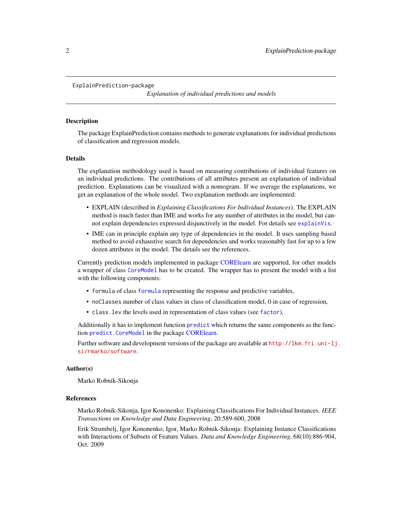```
ExplainPrediction-package
```
*Explanation of individual predictions and models*

#### **Description**

The package ExplainPrediction contains methods to generate explanations for individual predictions of classification and regression models.

#### Details

The explanation methodology used is based on measuring contributions of individual features on an individual predictions. The contributions of all attributes present an explanation of individual prediction. Explanations can be visualized with a nomogram. If we average the explanations, we get an explanation of the whole model. Two explanation methods are implemented:

- EXPLAIN (described in *Explaining Classifications For Individual Instances*). The EXPLAIN method is much faster than IME and works for any number of attributes in the model, but cannot explain dependencies expressed disjunctively in the model. For details see [explainVis](#page-2-1).
- IME can in principle explain any type of dependencies in the model. It uses sampling based method to avoid exhaustive search for dependencies and works reasonably fast for up to a few dozen attributes in the model. The details see the references.

Currently prediction models implemented in package [CORElearn](#page-0-0) are supported, for other models a wrapper of class [CoreModel](#page-0-0) has to be created. The wrapper has to present the model with a list with the following components:

- formula of class [formula](#page-0-0) representing the response and predictive variables,
- noClasses number of class values in class of classification model, 0 in case of regression,
- class.lev the levels used in representation of class values (see [factor](#page-0-0)),

Additionally it has to implement function [predict](#page-0-0) which returns the same components as the function [predict.CoreModel](#page-0-0) in the package [CORElearn.](#page-0-0)

Further software and development versions of the package are available at [http://lkm.fri.uni-lj](http://lkm.fri.uni-lj.si/rmarko/software). [si/rmarko/software](http://lkm.fri.uni-lj.si/rmarko/software).

#### Author(s)

Marko Robnik-Sikonja

#### References

Marko Robnik-Sikonja, Igor Kononenko: Explaining Classifications For Individual Instances. *IEEE Transactions on Knowledge and Data Engineering*, 20:589-600, 2008

Erik Strumbelj, Igor Kononenko, Igor, Marko Robnik-Sikonja: Explaining Instance Classifications with Interactions of Subsets of Feature Values. *Data and Knowledge Engineering*, 68(10):886-904, Oct. 2009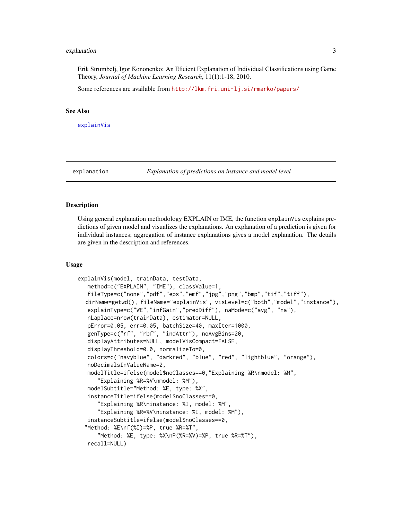#### <span id="page-2-0"></span>explanation 3

Erik Strumbelj, Igor Kononenko: An Eficient Explanation of Individual Classifications using Game Theory, *Journal of Machine Learning Research*, 11(1):1-18, 2010.

Some references are available from <http://lkm.fri.uni-lj.si/rmarko/papers/>

#### See Also

[explainVis](#page-2-1)

explanation *Explanation of predictions on instance and model level*

## <span id="page-2-1"></span>**Description**

Using general explanation methodology EXPLAIN or IME, the function explainVis explains predictions of given model and visualizes the explanations. An explanation of a prediction is given for individual instances; aggregation of instance explanations gives a model explanation. The details are given in the description and references.

#### Usage

```
explainVis(model, trainData, testData,
  method=c("EXPLAIN", "IME"), classValue=1,
  fileType=c("none","pdf","eps","emf","jpg","png","bmp","tif","tiff"),
  dirName=getwd(), fileName="explainVis", visLevel=c("both","model","instance"),
  explainType=c("WE","infGain","predDiff"), naMode=c("avg", "na"),
  nLaplace=nrow(trainData), estimator=NULL,
  pError=0.05, err=0.05, batchSize=40, maxIter=1000,
  genType=c("rf", "rbf", "indAttr"), noAvgBins=20,
  displayAttributes=NULL, modelVisCompact=FALSE,
  displayThreshold=0.0, normalizeTo=0,
  colors=c("navyblue", "darkred", "blue", "red", "lightblue", "orange"),
  noDecimalsInValueName=2,
  modelTitle=ifelse(model$noClasses==0,"Explaining %R\nmodel: %M",
      "Explaining %R=%V\nmodel: %M"),
  modelSubtitle="Method: %E, type: %X",
  instanceTitle=ifelse(model$noClasses==0,
      "Explaining %R\ninstance: %I, model: %M",
      "Explaining %R=%V\ninstance: %I, model: %M"),
  instanceSubtitle=ifelse(model$noClasses==0,
  "Method: %E\nf(%I)=%P, true %R=%T",
      "Method: %E, type: %X\nP(%R=%V)=%P, true %R=%T"),
  recall=NULL)
```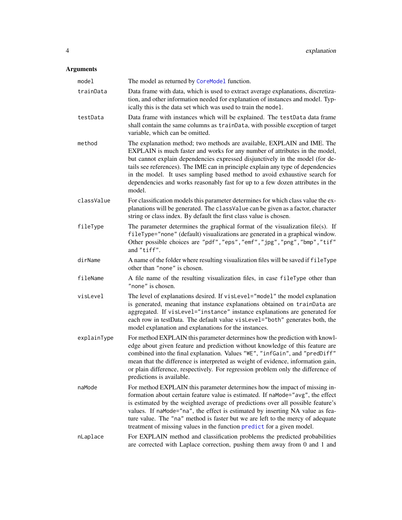## <span id="page-3-0"></span>Arguments

| model       | The model as returned by CoreModel function.                                                                                                                                                                                                                                                                                                                                                                                                                                                          |
|-------------|-------------------------------------------------------------------------------------------------------------------------------------------------------------------------------------------------------------------------------------------------------------------------------------------------------------------------------------------------------------------------------------------------------------------------------------------------------------------------------------------------------|
| trainData   | Data frame with data, which is used to extract average explanations, discretiza-<br>tion, and other information needed for explanation of instances and model. Typ-<br>ically this is the data set which was used to train the model.                                                                                                                                                                                                                                                                 |
| testData    | Data frame with instances which will be explained. The test Data data frame<br>shall contain the same columns as trainData, with possible exception of target<br>variable, which can be omitted.                                                                                                                                                                                                                                                                                                      |
| method      | The explanation method; two methods are available, EXPLAIN and IME. The<br>EXPLAIN is much faster and works for any number of attributes in the model,<br>but cannot explain dependencies expressed disjunctively in the model (for de-<br>tails see references). The IME can in principle explain any type of dependencies<br>in the model. It uses sampling based method to avoid exhaustive search for<br>dependencies and works reasonably fast for up to a few dozen attributes in the<br>model. |
| classValue  | For classification models this parameter determines for which class value the ex-<br>planations will be generated. The classValue can be given as a factor, character<br>string or class index. By default the first class value is chosen.                                                                                                                                                                                                                                                           |
| fileType    | The parameter determines the graphical format of the visualization file(s). If<br>fileType="none" (default) visualizations are generated in a graphical window.<br>Other possible choices are "pdf", "eps", "emf", "jpg", "png", "bmp", "tif"<br>and "tiff".                                                                                                                                                                                                                                          |
| dirName     | A name of the folder where resulting visualization files will be saved if fileType<br>other than "none" is chosen.                                                                                                                                                                                                                                                                                                                                                                                    |
| fileName    | A file name of the resulting visualization files, in case fileType other than<br>"none" is chosen.                                                                                                                                                                                                                                                                                                                                                                                                    |
| visLevel    | The level of explanations desired. If visLevel="model" the model explanation<br>is generated, meaning that instance explanations obtained on trainData are<br>aggregated. If visLevel="instance" instance explanations are generated for<br>each row in testData. The default value visLevel="both" generates both, the<br>model explanation and explanations for the instances.                                                                                                                      |
| explainType | For method EXPLAIN this parameter determines how the prediction with knowl-<br>edge about given feature and prediction without knowledge of this feature are<br>combined into the final explanation. Values "WE", "infGain", and "predDiff"<br>mean that the difference is interpreted as weight of evidence, information gain,<br>or plain difference, respectively. For regression problem only the difference of<br>predictions is available.                                                      |
| naMode      | For method EXPLAIN this parameter determines how the impact of missing in-<br>formation about certain feature value is estimated. If naMode="avg", the effect<br>is estimated by the weighted average of predictions over all possible feature's<br>values. If naMode="na", the effect is estimated by inserting NA value as fea-<br>ture value. The "na" method is faster but we are left to the mercy of adequate<br>treatment of missing values in the function predict for a given model.         |
| nLaplace    | For EXPLAIN method and classification problems the predicted probabilities<br>are corrected with Laplace correction, pushing them away from 0 and 1 and                                                                                                                                                                                                                                                                                                                                               |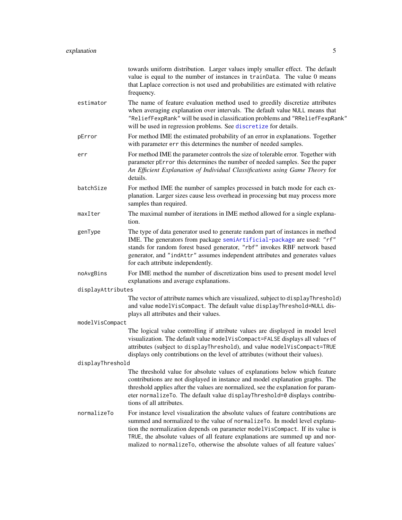<span id="page-4-0"></span>

|                   | towards uniform distribution. Larger values imply smaller effect. The default<br>value is equal to the number of instances in trainData. The value 0 means<br>that Laplace correction is not used and probabilities are estimated with relative<br>frequency.                                                                                                                                                   |
|-------------------|-----------------------------------------------------------------------------------------------------------------------------------------------------------------------------------------------------------------------------------------------------------------------------------------------------------------------------------------------------------------------------------------------------------------|
| estimator         | The name of feature evaluation method used to greedily discretize attributes<br>when averaging explanation over intervals. The default value NULL means that<br>"ReliefFexpRank" will be used in classification problems and "RReliefFexpRank"<br>will be used in regression problems. See discretize for details.                                                                                              |
| pError            | For method IME the estimated probability of an error in explanations. Together<br>with parameter err this determines the number of needed samples.                                                                                                                                                                                                                                                              |
| err               | For method IME the parameter controls the size of tolerable error. Together with<br>parameter pError this determines the number of needed samples. See the paper<br>An Efficient Explanation of Individual Classifications using Game Theory for<br>details.                                                                                                                                                    |
| batchSize         | For method IME the number of samples processed in batch mode for each ex-<br>planation. Larger sizes cause less overhead in processing but may process more<br>samples than required.                                                                                                                                                                                                                           |
| maxIter           | The maximal number of iterations in IME method allowed for a single explana-<br>tion.                                                                                                                                                                                                                                                                                                                           |
| genType           | The type of data generator used to generate random part of instances in method<br>IME. The generators from package semiArtificial-package are used: "rf"<br>stands for random forest based generator, "rbf" invokes RBF network based<br>generator, and "indAttr" assumes independent attributes and generates values<br>for each attribute independently.                                                      |
| noAvgBins         | For IME method the number of discretization bins used to present model level<br>explanations and average explanations.                                                                                                                                                                                                                                                                                          |
| displayAttributes |                                                                                                                                                                                                                                                                                                                                                                                                                 |
|                   | The vector of attribute names which are visualized, subject to displayThreshold)<br>and value modelVisCompact. The default value displayThreshold=NULL dis-<br>plays all attributes and their values.                                                                                                                                                                                                           |
| modelVisCompact   |                                                                                                                                                                                                                                                                                                                                                                                                                 |
|                   | The logical value controlling if attribute values are displayed in model level<br>visualization. The default value modelVisCompact=FALSE displays all values of<br>attributes (subject to displayThreshold), and value modelVisCompact=TRUE<br>displays only contributions on the level of attributes (without their values).                                                                                   |
| displayThreshold  |                                                                                                                                                                                                                                                                                                                                                                                                                 |
|                   | The threshold value for absolute values of explanations below which feature<br>contributions are not displayed in instance and model explanation graphs. The<br>threshold applies after the values are normalized, see the explanation for param-<br>eter normalizeTo. The default value displayThreshold=0 displays contribu-<br>tions of all attributes.                                                      |
| normalizeTo       | For instance level visualization the absolute values of feature contributions are<br>summed and normalized to the value of normalizeTo. In model level explana-<br>tion the normalization depends on parameter modelVisCompact. If its value is<br>TRUE, the absolute values of all feature explanations are summed up and nor-<br>malized to normalizeTo, otherwise the absolute values of all feature values' |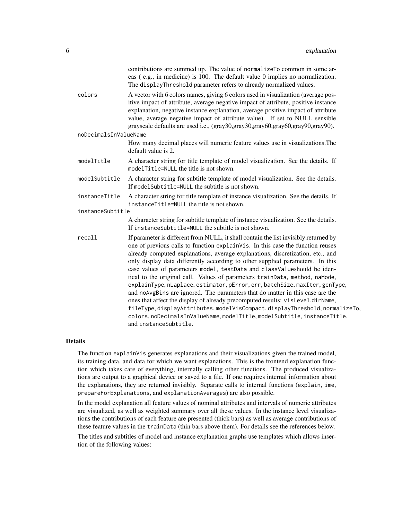|               | contributions are summed up. The value of normalizeTo common in some ar-                                                                                                                                                                                                                                                                                                                                                                                                                                                                                                                                                                                                                                                                                                                                                                                                                                                                    |
|---------------|---------------------------------------------------------------------------------------------------------------------------------------------------------------------------------------------------------------------------------------------------------------------------------------------------------------------------------------------------------------------------------------------------------------------------------------------------------------------------------------------------------------------------------------------------------------------------------------------------------------------------------------------------------------------------------------------------------------------------------------------------------------------------------------------------------------------------------------------------------------------------------------------------------------------------------------------|
|               | eas (e.g., in medicine) is 100. The default value 0 implies no normalization.<br>The displayThreshold parameter refers to already normalized values.                                                                                                                                                                                                                                                                                                                                                                                                                                                                                                                                                                                                                                                                                                                                                                                        |
| colors        | A vector with 6 colors names, giving 6 colors used in visualization (average pos-<br>itive impact of attribute, average negative impact of attribute, positive instance<br>explanation, negative instance explanation, average positive impact of attribute<br>value, average negative impact of attribute value). If set to NULL sensible<br>grayscale defaults are used i.e., (gray30,gray30,gray60,gray60,gray90,gray90).                                                                                                                                                                                                                                                                                                                                                                                                                                                                                                                |
|               |                                                                                                                                                                                                                                                                                                                                                                                                                                                                                                                                                                                                                                                                                                                                                                                                                                                                                                                                             |
|               | How many decimal places will numeric feature values use in visualizations. The<br>default value is 2.                                                                                                                                                                                                                                                                                                                                                                                                                                                                                                                                                                                                                                                                                                                                                                                                                                       |
| modelTitle    | A character string for title template of model visualization. See the details. If<br>modelTitle=NULL the title is not shown.                                                                                                                                                                                                                                                                                                                                                                                                                                                                                                                                                                                                                                                                                                                                                                                                                |
| modelSubtitle | A character string for subtitle template of model visualization. See the details.<br>If modelSubtitle=NULL the subtitle is not shown.                                                                                                                                                                                                                                                                                                                                                                                                                                                                                                                                                                                                                                                                                                                                                                                                       |
| instanceTitle | A character string for title template of instance visualization. See the details. If<br>instanceTitle=NULL the title is not shown.                                                                                                                                                                                                                                                                                                                                                                                                                                                                                                                                                                                                                                                                                                                                                                                                          |
|               |                                                                                                                                                                                                                                                                                                                                                                                                                                                                                                                                                                                                                                                                                                                                                                                                                                                                                                                                             |
|               | A character string for subtitle template of instance visualization. See the details.<br>If instanceSubtitle=NULL the subtitle is not shown.                                                                                                                                                                                                                                                                                                                                                                                                                                                                                                                                                                                                                                                                                                                                                                                                 |
| recall        | If parameter is different from NULL, it shall contain the list invisibly returned by<br>one of previous calls to function explainVis. In this case the function reuses<br>already computed explanations, average explanations, discretization, etc., and<br>only display data differently according to other supplied parameters. In this<br>case values of parameters model, testData and classValueshould be iden-<br>tical to the original call. Values of parameters trainData, method, naMode,<br>explainType, nLaplace, estimator, pError, err, batchSize, maxIter, genType,<br>and noAvgBins are ignored. The parameters that do matter in this case are the<br>ones that affect the display of already precomputed results: visLevel, dirName,<br>fileType, displayAttributes, modelVisCompact, displayThreshold, normalizeTo,<br>colors, noDecimalsInValueName, modelTitle, modelSubtitle, instanceTitle,<br>and instanceSubtitle. |
|               | noDecimalsInValueName<br>instanceSubtitle                                                                                                                                                                                                                                                                                                                                                                                                                                                                                                                                                                                                                                                                                                                                                                                                                                                                                                   |

#### Details

The function explainVis generates explanations and their visualizations given the trained model, its training data, and data for which we want explanations. This is the frontend explanation function which takes care of everything, internally calling other functions. The produced visualizations are output to a graphical device or saved to a file. If one requires internal information about the explanations, they are returned invisibly. Separate calls to internal functions (explain, ime, prepareForExplanations, and explanationAverages) are also possible.

In the model explanation all feature values of nominal attributes and intervals of numeric attributes are visualized, as well as weighted summary over all these values. In the instance level visualizations the contributions of each feature are presented (thick bars) as well as average contributions of these feature values in the trainData (thin bars above them). For details see the references below.

The titles and subtitles of model and instance explanation graphs use templates which allows insertion of the following values: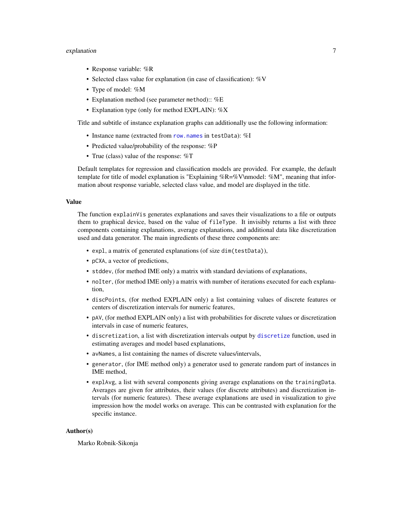#### <span id="page-6-0"></span>explanation **7**

- Response variable: %R
- Selected class value for explanation (in case of classification): %V
- Type of model: %M
- Explanation method (see parameter method):: %E
- Explanation type (only for method EXPLAIN): %X

Title and subtitle of instance explanation graphs can additionally use the following information:

- Instance name (extracted from [row.names](#page-0-0) in testData): %I
- Predicted value/probability of the response: %P
- True (class) value of the response:  $\%T$

Default templates for regression and classification models are provided. For example, the default template for title of model explanation is "Explaining %R=%V\nmodel: %M", meaning that information about response variable, selected class value, and model are displayed in the title.

#### Value

The function explainVis generates explanations and saves their visualizations to a file or outputs them to graphical device, based on the value of fileType. It invisibly returns a list with three components containing explanations, average explanations, and additional data like discretization used and data generator. The main ingredients of these three components are:

- expl, a matrix of generated explanations (of size dim(testData)),
- pCXA, a vector of predictions,
- stddev, (for method IME only) a matrix with standard deviations of explanations,
- noIter, (for method IME only) a matrix with number of iterations executed for each explanation,
- discPoints, (for method EXPLAIN only) a list containing values of discrete features or centers of discretization intervals for numeric features,
- pAV, (for method EXPLAIN only) a list with probabilities for discrete values or discretization intervals in case of numeric features,
- discretization, a list with discretization intervals output by [discretize](#page-0-0) function, used in estimating averages and model based explanations,
- avNames, a list containing the names of discrete values/intervals,
- generator, (for IME method only) a generator used to generate random part of instances in IME method,
- explAvg, a list with several components giving average explanations on the trainingData. Averages are given for attributes, their values (for discrete attributes) and discretization intervals (for numeric features). These average explanations are used in visualization to give impression how the model works on average. This can be contrasted with explanation for the specific instance.

#### Author(s)

Marko Robnik-Sikonja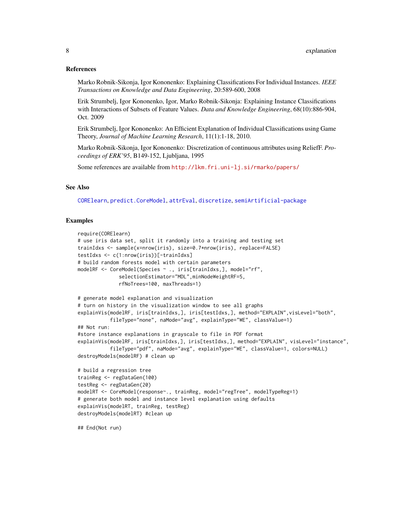#### <span id="page-7-0"></span>References

Marko Robnik-Sikonja, Igor Kononenko: Explaining Classifications For Individual Instances. *IEEE Transactions on Knowledge and Data Engineering*, 20:589-600, 2008

Erik Strumbelj, Igor Kononenko, Igor, Marko Robnik-Sikonja: Explaining Instance Classifications with Interactions of Subsets of Feature Values. *Data and Knowledge Engineering*, 68(10):886-904, Oct. 2009

Erik Strumbelj, Igor Kononenko: An Efficient Explanation of Individual Classifications using Game Theory, *Journal of Machine Learning Research*, 11(1):1-18, 2010.

Marko Robnik-Sikonja, Igor Kononenko: Discretization of continuous attributes using ReliefF. *Proceedings of ERK'95*, B149-152, Ljubljana, 1995

Some references are available from <http://lkm.fri.uni-lj.si/rmarko/papers/>

## See Also

[CORElearn](#page-0-0), [predict.CoreModel](#page-0-0), [attrEval](#page-0-0), [discretize](#page-0-0), [semiArtificial-package](#page-0-0)

#### Examples

```
require(CORElearn)
# use iris data set, split it randomly into a training and testing set
trainIdxs <- sample(x=nrow(iris), size=0.7*nrow(iris), replace=FALSE)
testIdxs <- c(1:nrow(iris))[-trainIdxs]
# build random forests model with certain parameters
modelRF <- CoreModel(Species ~ ., iris[trainIdxs,], model="rf",
              selectionEstimator="MDL",minNodeWeightRF=5,
              rfNoTrees=100, maxThreads=1)
# generate model explanation and visualization
# turn on history in the visualization window to see all graphs
explainVis(modelRF, iris[trainIdxs,], iris[testIdxs,], method="EXPLAIN",visLevel="both",
           fileType="none", naMode="avg", explainType="WE", classValue=1)
## Not run:
#store instance explanations in grayscale to file in PDF format
explainVis(modelRF, iris[trainIdxs,], iris[testIdxs,], method="EXPLAIN", visLevel="instance",
           fileType="pdf", naMode="avg", explainType="WE", classValue=1, colors=NULL)
destroyModels(modelRF) # clean up
# build a regression tree
trainReg <- regDataGen(100)
testReg <- regDataGen(20)
modelRT <- CoreModel(response~., trainReg, model="regTree", modelTypeReg=1)
# generate both model and instance level explanation using defaults
explainVis(modelRT, trainReg, testReg)
destroyModels(modelRT) #clean up
## End(Not run)
```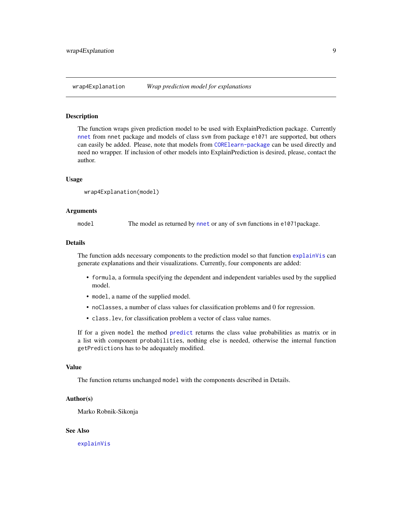<span id="page-8-0"></span>

#### Description

The function wraps given prediction model to be used with ExplainPrediction package. Currently [nnet](#page-0-0) from nnet package and models of class svm from package e1071 are supported, but others can easily be added. Please, note that models from [CORElearn-package](#page-0-0) can be used directly and need no wrapper. If inclusion of other models into ExplainPrediction is desired, please, contact the author.

#### Usage

```
wrap4Explanation(model)
```
#### Arguments

model The model as returned by [nnet](#page-0-0) or any of svm functions in e1071 package.

#### Details

The function adds necessary components to the prediction model so that function [explainVis](#page-2-1) can generate explanations and their visualizations. Currently, four components are added:

- formula, a formula specifying the dependent and independent variables used by the supplied model.
- model, a name of the supplied model.
- noClasses, a number of class values for classification problems and 0 for regression.
- class.lev, for classification problem a vector of class value names.

If for a given model the method [predict](#page-0-0) returns the class value probabilities as matrix or in a list with component probabilities, nothing else is needed, otherwise the internal function getPredictions has to be adequately modified.

#### Value

The function returns unchanged model with the components described in Details.

#### Author(s)

Marko Robnik-Sikonja

#### See Also

[explainVis](#page-2-1)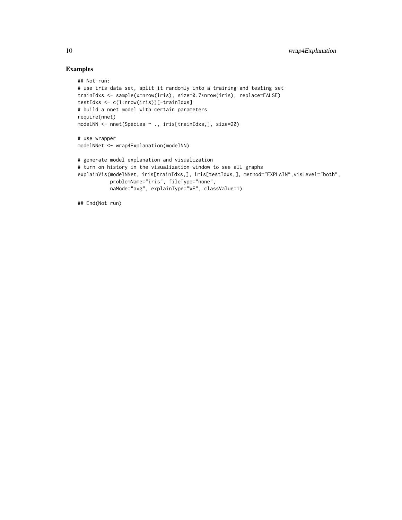## Examples

```
## Not run:
# use iris data set, split it randomly into a training and testing set
trainIdxs <- sample(x=nrow(iris), size=0.7*nrow(iris), replace=FALSE)
testIdxs <- c(1:nrow(iris))[-trainIdxs]
# build a nnet model with certain parameters
require(nnet)
modelNN <- nnet(Species ~ ., iris[trainIdxs,], size=20)
# use wrapper
modelNNet <- wrap4Explanation(modelNN)
# generate model explanation and visualization
# turn on history in the visualization window to see all graphs
explainVis(modelNNet, iris[trainIdxs,], iris[testIdxs,], method="EXPLAIN", visLevel="both",
           problemName="iris", fileType="none",
           naMode="avg", explainType="WE", classValue=1)
```
## End(Not run)